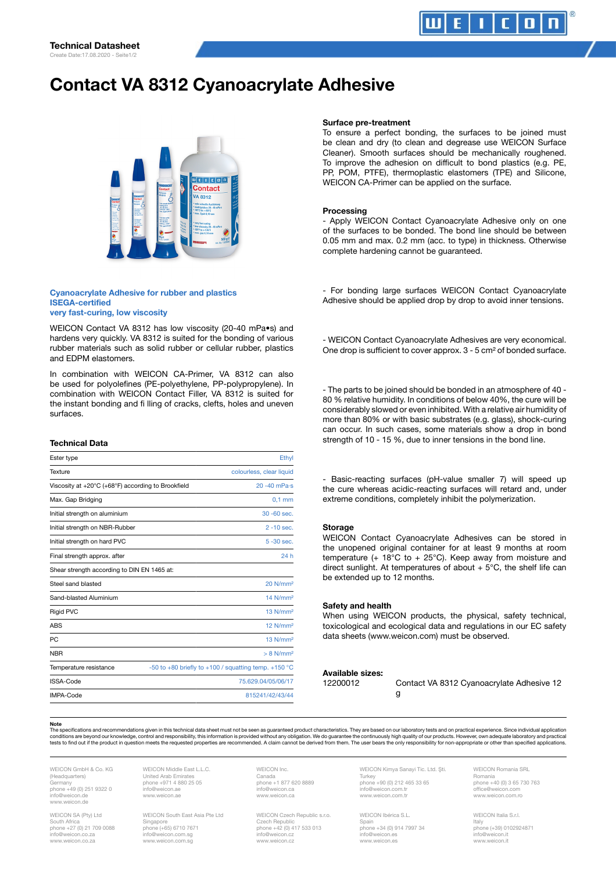# Contact VA 8312 Cyanoacrylate Adhesive



#### Cyanoacrylate Adhesive for rubber and plastics ISEGA-certified very fast-curing, low viscosity

WEICON Contact VA 8312 has low viscosity (20-40 mPa•s) and hardens very quickly. VA 8312 is suited for the bonding of various rubber materials such as solid rubber or cellular rubber, plastics and EDPM elastomers.

In combination with WEICON CA-Primer, VA 8312 can also be used for polyolefines (PE-polyethylene, PP-polypropylene). In combination with WEICON Contact Filler, VA 8312 is suited for the instant bonding and fi lling of cracks, clefts, holes and uneven surfaces.

### Technical Data

| Ester type                                                              | Ethyl                                                          |
|-------------------------------------------------------------------------|----------------------------------------------------------------|
| Texture                                                                 | colourless, clear liquid                                       |
| Viscosity at $+20^{\circ}$ C ( $+68^{\circ}$ F) according to Brookfield | $20 - 40$ mPa $\cdot$ s                                        |
| Max. Gap Bridging                                                       | $0,1$ mm                                                       |
| Initial strength on aluminium                                           | 30 -60 sec.                                                    |
| Initial strength on NBR-Rubber                                          | $2 - 10$ sec.                                                  |
| Initial strength on hard PVC                                            | $5 - 30$ sec.                                                  |
| Final strength approx. after                                            | 24 h                                                           |
| Shear strength according to DIN EN 1465 at:                             |                                                                |
| Steel sand blasted                                                      | 20 N/mm <sup>2</sup>                                           |
| Sand-blasted Aluminium                                                  | 14 N/mm <sup>2</sup>                                           |
| <b>Rigid PVC</b>                                                        | 13 N/mm <sup>2</sup>                                           |
| <b>ABS</b>                                                              | 12 N/mm <sup>2</sup>                                           |
| <b>PC</b>                                                               | $13$ N/mm <sup>2</sup>                                         |
| <b>NBR</b>                                                              | $> 8$ N/mm <sup>2</sup>                                        |
| Temperature resistance                                                  | -50 to +80 briefly to +100 / squatting temp. +150 $^{\circ}$ C |
| ISSA-Code                                                               | 75.629.04/05/06/17                                             |
| IMPA-Code                                                               | 815241/42/43/44                                                |

### Surface pre-treatment

To ensure a perfect bonding, the surfaces to be joined must be clean and dry (to clean and degrease use WEICON Surface Cleaner). Smooth surfaces should be mechanically roughened. To improve the adhesion on difficult to bond plastics (e.g. PE, PP, POM, PTFE), thermoplastic elastomers (TPE) and Silicone, WEICON CA-Primer can be applied on the surface.

#### Processing

- Apply WEICON Contact Cyanoacrylate Adhesive only on one of the surfaces to be bonded. The bond line should be between 0.05 mm and max. 0.2 mm (acc. to type) in thickness. Otherwise complete hardening cannot be guaranteed.

- For bonding large surfaces WEICON Contact Cyanoacrylate Adhesive should be applied drop by drop to avoid inner tensions.

- WEICON Contact Cyanoacrylate Adhesives are very economical. One drop is sufficient to cover approx. 3 - 5 cm² of bonded surface.

- The parts to be joined should be bonded in an atmosphere of 40 - 80 % relative humidity. In conditions of below 40%, the cure will be considerably slowed or even inhibited. With a relative air humidity of more than 80% or with basic substrates (e.g. glass), shock-curing can occur. In such cases, some materials show a drop in bond strength of 10 - 15 %, due to inner tensions in the bond line.

- Basic-reacting surfaces (pH-value smaller 7) will speed up the cure whereas acidic-reacting surfaces will retard and, under extreme conditions, completely inhibit the polymerization.

# **Storage**

WEICON Contact Cyanoacrylate Adhesives can be stored in the unopened original container for at least 9 months at room temperature (+ 18°C to + 25°C). Keep away from moisture and direct sunlight. At temperatures of about  $+5^{\circ}$ C, the shelf life can be extended up to 12 months.

#### Safety and health

When using WEICON products, the physical, safety technical, toxicological and ecological data and regulations in our EC safety data sheets (www.weicon.com) must be observed.

# Available sizes:

g

12200012 Contact VA 8312 Cyanoacrylate Adhesive 12

The specifications and recommendations given in this technical data sheet must not be seen as guaranteed product characteristics. They are based on our laboratory tests and on practical experience. Since individual applica

WEICON GmbH & Co. KG (Headquarters) Germany phone +49 (0) 251 9322 0 info@weicon.de www.weicon.de

WEICON SA (Pty) Ltd South Africa phone +27 (0) 21 709 0088 info@weicon.co.za www.weicon.co.za

WEICON Middle East L.L.C. United Arab Emirat phone +971 4 880 25 05 info@weicon.ae www.weicon.ae

WEICON South East Asia Pte Ltd Singapore phone (+65) 6710 7671 info@weicon.com.sg www.weicon.com.sg

WEICON Inc. Canada phone +1 877 620 8889<br>info@weicon.ca info@weicon.ca www.weicon.ca

WEICON Czech Republic s.r.o. Czech Republic phone +42 (0) 417 533 013 info@weicon.cz www.weicon.cz

WEICON Kimya Sanayi Tic. Ltd. Şti. **Turkey** phone +90 (0) 212 465 33 65<br>info@weicon.com.tr info@weicon.com.tr www.weicon.com.tr

WEICON Ibérica S.L. Spain phone +34 (0) 914 7997 34 info@weicon.es www.weicon.es

WEICON Romania SRL Romania phone +40 (0) 3 65 730 763 office@weicon.com www.weicon.com.ro

WEICON Italia S.r.l. Italy phone (+39) 0102924871 info@weicon.i www.weicon.it

Note